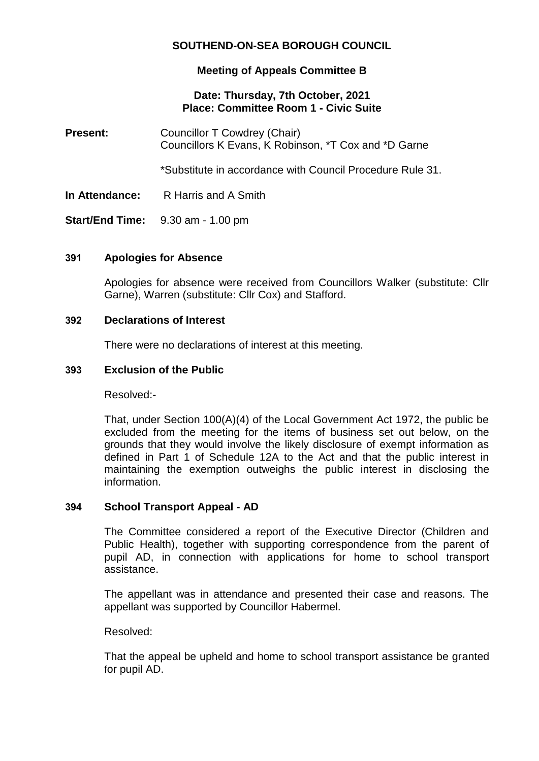# **SOUTHEND-ON-SEA BOROUGH COUNCIL**

### **Meeting of Appeals Committee B**

#### **Date: Thursday, 7th October, 2021 Place: Committee Room 1 - Civic Suite**

**Present:** Councillor T Cowdrey (Chair) Councillors K Evans, K Robinson, \*T Cox and \*D Garne

\*Substitute in accordance with Council Procedure Rule 31.

**In Attendance:** R Harris and A Smith

**Start/End Time:** 9.30 am - 1.00 pm

## **391 Apologies for Absence**

Apologies for absence were received from Councillors Walker (substitute: Cllr Garne), Warren (substitute: Cllr Cox) and Stafford.

#### **392 Declarations of Interest**

There were no declarations of interest at this meeting.

#### **393 Exclusion of the Public**

Resolved:-

That, under Section 100(A)(4) of the Local Government Act 1972, the public be excluded from the meeting for the items of business set out below, on the grounds that they would involve the likely disclosure of exempt information as defined in Part 1 of Schedule 12A to the Act and that the public interest in maintaining the exemption outweighs the public interest in disclosing the information.

#### **394 School Transport Appeal - AD**

The Committee considered a report of the Executive Director (Children and Public Health), together with supporting correspondence from the parent of pupil AD, in connection with applications for home to school transport assistance.

The appellant was in attendance and presented their case and reasons. The appellant was supported by Councillor Habermel.

Resolved:

That the appeal be upheld and home to school transport assistance be granted for pupil AD.